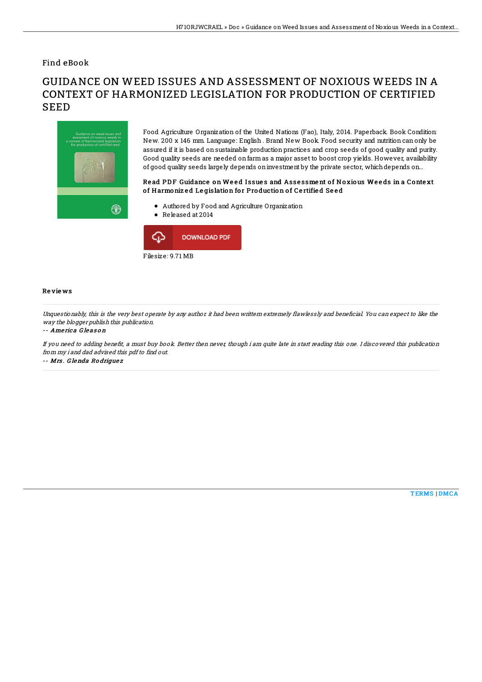## Find eBook

# GUIDANCE ON WEED ISSUES AND ASSESSMENT OF NOXIOUS WEEDS IN A CONTEXT OF HARMONIZED LEGISLATION FOR PRODUCTION OF CERTIFIED SEED



Food Agriculture Organization of the United Nations (Fao), Italy, 2014. Paperback. Book Condition: New. 200 x 146 mm. Language: English . Brand New Book. Food security and nutrition can only be assured if it is based on sustainable production practices and crop seeds of good quality and purity. Good quality seeds are needed onfarmas a major asset to boost crop yields. However, availability of good quality seeds largely depends oninvestment by the private sector, whichdepends on...

### Read PDF Guidance on Weed Issues and Assessment of Noxious Weeds in a Context of Harmonized Legislation for Production of Certified Seed

- Authored by Food and Agriculture Organization
- Released at 2014



#### Re vie ws

Unquestionably, this is the very best operate by any author it had been writtern extremely flawlessly and beneficial. You can expect to like the way the blogger publish this publication.

#### -- Ame ric a G le as o <sup>n</sup>

If you need to adding benefit, a must buy book. Better then never, though i am quite late in start reading this one. I discovered this publication from my i and dad advised this pdf to find out.

-- Mrs . G lenda Ro drigue <sup>z</sup>